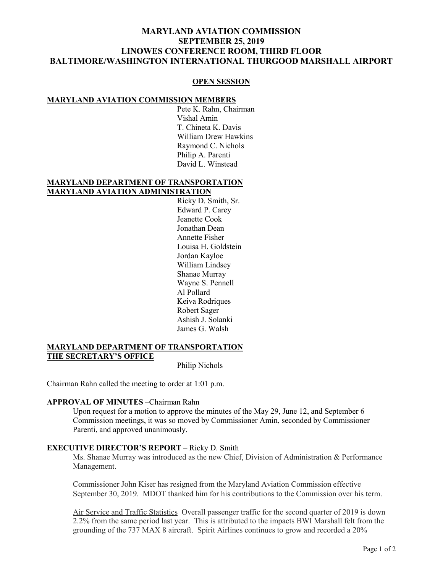# **MARYLAND AVIATION COMMISSION SEPTEMBER 25, 2019 LINOWES CONFERENCE ROOM, THIRD FLOOR BALTIMORE/WASHINGTON INTERNATIONAL THURGOOD MARSHALL AIRPORT**

#### **OPEN SESSION**

#### **MARYLAND AVIATION COMMISSION MEMBERS**

Pete K. Rahn, Chairman Vishal Amin T. Chineta K. Davis William Drew Hawkins Raymond C. Nichols Philip A. Parenti David L. Winstead

#### **MARYLAND DEPARTMENT OF TRANSPORTATION MARYLAND AVIATION ADMINISTRATION**

Ricky D. Smith, Sr. Edward P. Carey Jeanette Cook Jonathan Dean Annette Fisher Louisa H. Goldstein Jordan Kayloe William Lindsey Shanae Murray Wayne S. Pennell Al Pollard Keiva Rodriques Robert Sager Ashish J. Solanki James G. Walsh

### **MARYLAND DEPARTMENT OF TRANSPORTATION THE SECRETARY'S OFFICE**

Philip Nichols

Chairman Rahn called the meeting to order at 1:01 p.m.

### **APPROVAL OF MINUTES** –Chairman Rahn

Upon request for a motion to approve the minutes of the May 29, June 12, and September 6 Commission meetings, it was so moved by Commissioner Amin, seconded by Commissioner Parenti, and approved unanimously.

### **EXECUTIVE DIRECTOR'S REPORT** – Ricky D. Smith

Ms. Shanae Murray was introduced as the new Chief, Division of Administration & Performance Management.

Commissioner John Kiser has resigned from the Maryland Aviation Commission effective September 30, 2019. MDOT thanked him for his contributions to the Commission over his term.

Air Service and Traffic Statistics Overall passenger traffic for the second quarter of 2019 is down 2.2% from the same period last year. This is attributed to the impacts BWI Marshall felt from the grounding of the 737 MAX 8 aircraft. Spirit Airlines continues to grow and recorded a 20%